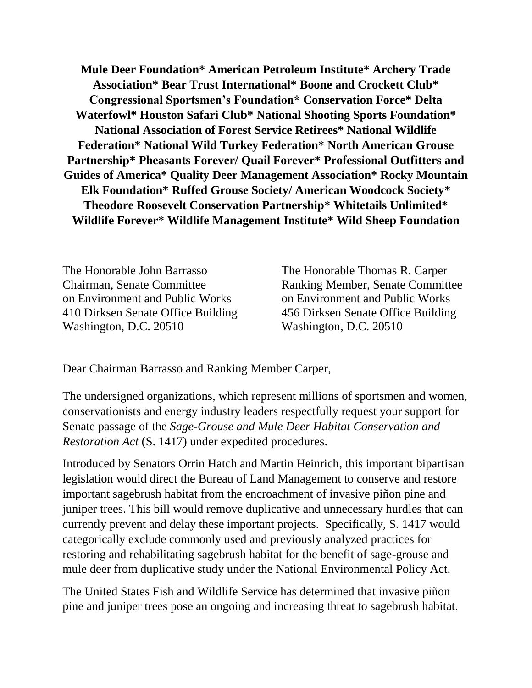**Mule Deer Foundation\* American Petroleum Institute\* Archery Trade Association\* Bear Trust International\* Boone and Crockett Club\* Congressional Sportsmen's Foundation\* Conservation Force\* Delta Waterfowl\* Houston Safari Club\* National Shooting Sports Foundation\* National Association of Forest Service Retirees\* National Wildlife Federation\* National Wild Turkey Federation\* North American Grouse Partnership\* Pheasants Forever/ Quail Forever\* Professional Outfitters and Guides of America\* Quality Deer Management Association\* Rocky Mountain Elk Foundation\* Ruffed Grouse Society/ American Woodcock Society\* Theodore Roosevelt Conservation Partnership\* Whitetails Unlimited\* Wildlife Forever\* Wildlife Management Institute\* Wild Sheep Foundation**

The Honorable John Barrasso Chairman, Senate Committee on Environment and Public Works 410 Dirksen Senate Office Building Washington, D.C. 20510

The Honorable Thomas R. Carper Ranking Member, Senate Committee on Environment and Public Works 456 Dirksen Senate Office Building Washington, D.C. 20510

Dear Chairman Barrasso and Ranking Member Carper,

The undersigned organizations, which represent millions of sportsmen and women, conservationists and energy industry leaders respectfully request your support for Senate passage of the *Sage-Grouse and Mule Deer Habitat Conservation and Restoration Act* (S. 1417) under expedited procedures.

Introduced by Senators Orrin Hatch and Martin Heinrich, this important bipartisan legislation would direct the Bureau of Land Management to conserve and restore important sagebrush habitat from the encroachment of invasive piñon pine and juniper trees. This bill would remove duplicative and unnecessary hurdles that can currently prevent and delay these important projects. Specifically, S. 1417 would categorically exclude commonly used and previously analyzed practices for restoring and rehabilitating sagebrush habitat for the benefit of sage-grouse and mule deer from duplicative study under the National Environmental Policy Act.

The United States Fish and Wildlife Service has determined that invasive piñon pine and juniper trees pose an ongoing and increasing threat to sagebrush habitat.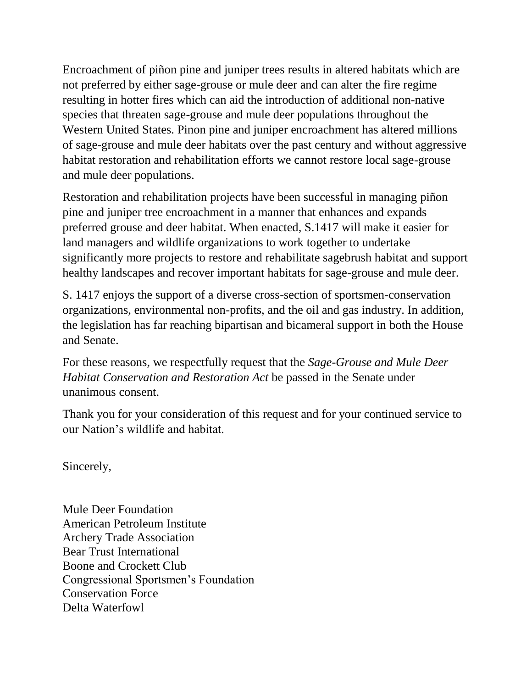Encroachment of piñon pine and juniper trees results in altered habitats which are not preferred by either sage-grouse or mule deer and can alter the fire regime resulting in hotter fires which can aid the introduction of additional non-native species that threaten sage-grouse and mule deer populations throughout the Western United States. Pinon pine and juniper encroachment has altered millions of sage-grouse and mule deer habitats over the past century and without aggressive habitat restoration and rehabilitation efforts we cannot restore local sage-grouse and mule deer populations.

Restoration and rehabilitation projects have been successful in managing piñon pine and juniper tree encroachment in a manner that enhances and expands preferred grouse and deer habitat. When enacted, S.1417 will make it easier for land managers and wildlife organizations to work together to undertake significantly more projects to restore and rehabilitate sagebrush habitat and support healthy landscapes and recover important habitats for sage-grouse and mule deer.

S. 1417 enjoys the support of a diverse cross-section of sportsmen-conservation organizations, environmental non-profits, and the oil and gas industry. In addition, the legislation has far reaching bipartisan and bicameral support in both the House and Senate.

For these reasons, we respectfully request that the *Sage-Grouse and Mule Deer Habitat Conservation and Restoration Act* be passed in the Senate under unanimous consent.

Thank you for your consideration of this request and for your continued service to our Nation's wildlife and habitat.

Sincerely,

Mule Deer Foundation American Petroleum Institute Archery Trade Association Bear Trust International Boone and Crockett Club Congressional Sportsmen's Foundation Conservation Force Delta Waterfowl